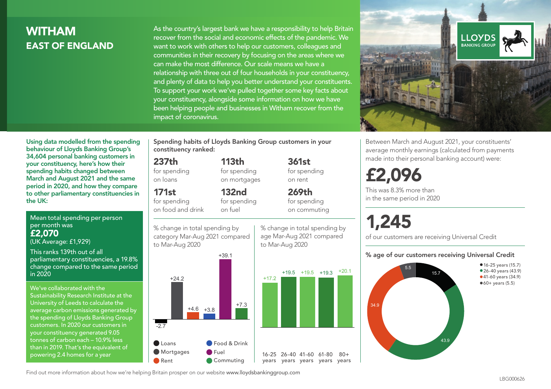## WITHAM EAST OF ENGLAND

As the country's largest bank we have a responsibility to help Britain recover from the social and economic effects of the pandemic. We want to work with others to help our customers, colleagues and communities in their recovery by focusing on the areas where we can make the most difference. Our scale means we have a relationship with three out of four households in your constituency, and plenty of data to help you better understand your constituents. To support your work we've pulled together some key facts about your constituency, alongside some information on how we have been helping people and businesses in Witham recover from the impact of coronavirus.



Between March and August 2021, your constituents' average monthly earnings (calculated from payments made into their personal banking account) were:

## £2,096

This was 8.3% more than in the same period in 2020

# 1,245

of our customers are receiving Universal Credit

#### % age of our customers receiving Universal Credit



Using data modelled from the spending behaviour of Lloyds Banking Group's 34,604 personal banking customers in your constituency, here's how their spending habits changed between March and August 2021 and the same period in 2020, and how they compare to other parliamentary constituencies in the UK:

Mean total spending per person per month was £2,070

(UK Average: £1,929)

This ranks 139th out of all parliamentary constituencies, a 19.8% change compared to the same period in 2020

We've collaborated with the Sustainability Research Institute at the University of Leeds to calculate the average carbon emissions generated by the spending of Lloyds Banking Group customers. In 2020 our customers in your constituency generated 9.05 tonnes of carbon each – 10.9% less than in 2019. That's the equivalent of powering 2.4 homes for a year

Spending habits of Lloyds Banking Group customers in your constituency ranked:

> 113th for spending on mortgages

132nd

## 237th

for spending on loans

171st

for spending on food and drink

for spending on fuel

% change in total spending by category Mar-Aug 2021 compared to Mar-Aug 2020



% change in total spending by age Mar-Aug 2021 compared to Mar-Aug 2020

361st for spending on rent 269th

 $80 +$ 

for spending on commuting

Find out more information about how we're helping Britain prosper on our website www.lloydsbankinggroup.com